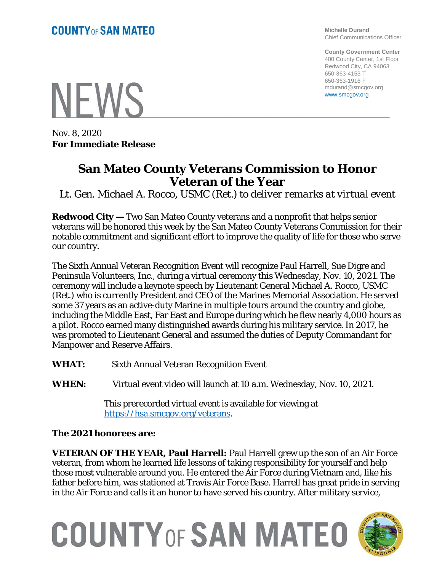**Michelle Durand** Chief Communications Officer

**County Government Center** 400 County Center, 1st Floor Redwood City, CA 94063 650-363-4153 T 650-363-1916 F mdurand@smcgov.org www.smcgov.org

**NFWS** 

Nov. 8, 2020 **For Immediate Release**

## **San Mateo County Veterans Commission to Honor Veteran of the Year**

*Lt. Gen. Michael A. Rocco, USMC (Ret.) to deliver remarks at virtual event*

**Redwood City —** Two San Mateo County veterans and a nonprofit that helps senior veterans will be honored this week by the San Mateo County Veterans Commission for their notable commitment and significant effort to improve the quality of life for those who serve our country.

The Sixth Annual Veteran Recognition Event will recognize Paul Harrell, Sue Digre and Peninsula Volunteers, Inc., during a virtual ceremony this Wednesday, Nov. 10, 2021. The ceremony will include a keynote speech by Lieutenant General Michael A. Rocco, USMC (Ret.) who is currently President and CEO of the Marines Memorial Association. He served some 37 years as an active-duty Marine in multiple tours around the country and globe, including the Middle East, Far East and Europe during which he flew nearly 4,000 hours as a pilot. Rocco earned many distinguished awards during his military service. In 2017, he was promoted to Lieutenant General and assumed the duties of Deputy Commandant for Manpower and Reserve Affairs.

- **WHAT:** Sixth Annual Veteran Recognition Event
- **WHEN:** Virtual event video will launch at 10 a.m. Wednesday, Nov. 10, 2021.

This prerecorded virtual event is available for viewing at [https://hsa.smcgov.org/veterans.](https://hsa.smcgov.org/veterans)

**The 2021 honorees are:**

**VETERAN OF THE YEAR, Paul Harrell:** Paul Harrell grew up the son of an Air Force veteran, from whom he learned life lessons of taking responsibility for yourself and help those most vulnerable around you. He entered the Air Force during Vietnam and, like his father before him, was stationed at Travis Air Force Base. Harrell has great pride in serving in the Air Force and calls it an honor to have served his country. After military service,